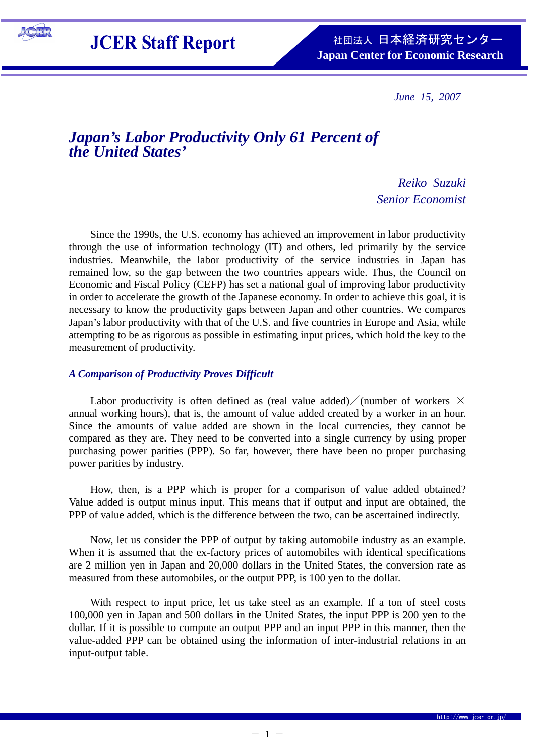

**JCER Staff Report** 

*June 15, 2007* 

# *Japan's Labor Productivity Only 61 Percent of the United States'*

*Reiko Suzuki Senior Economist* 

Since the 1990s, the U.S. economy has achieved an improvement in labor productivity through the use of information technology (IT) and others, led primarily by the service industries. Meanwhile, the labor productivity of the service industries in Japan has remained low, so the gap between the two countries appears wide. Thus, the Council on Economic and Fiscal Policy (CEFP) has set a national goal of improving labor productivity in order to accelerate the growth of the Japanese economy. In order to achieve this goal, it is necessary to know the productivity gaps between Japan and other countries. We compares Japan's labor productivity with that of the U.S. and five countries in Europe and Asia, while attempting to be as rigorous as possible in estimating input prices, which hold the key to the measurement of productivity.

## *A Comparison of Productivity Proves Difficult*

Labor productivity is often defined as (real value added) / (number of workers  $\times$ annual working hours), that is, the amount of value added created by a worker in an hour. Since the amounts of value added are shown in the local currencies, they cannot be compared as they are. They need to be converted into a single currency by using proper purchasing power parities (PPP). So far, however, there have been no proper purchasing power parities by industry.

How, then, is a PPP which is proper for a comparison of value added obtained? Value added is output minus input. This means that if output and input are obtained, the PPP of value added, which is the difference between the two, can be ascertained indirectly.

Now, let us consider the PPP of output by taking automobile industry as an example. When it is assumed that the ex-factory prices of automobiles with identical specifications are 2 million yen in Japan and 20,000 dollars in the United States, the conversion rate as measured from these automobiles, or the output PPP, is 100 yen to the dollar.

With respect to input price, let us take steel as an example. If a ton of steel costs 100,000 yen in Japan and 500 dollars in the United States, the input PPP is 200 yen to the dollar. If it is possible to compute an output PPP and an input PPP in this manner, then the value-added PPP can be obtained using the information of inter-industrial relations in an input-output table.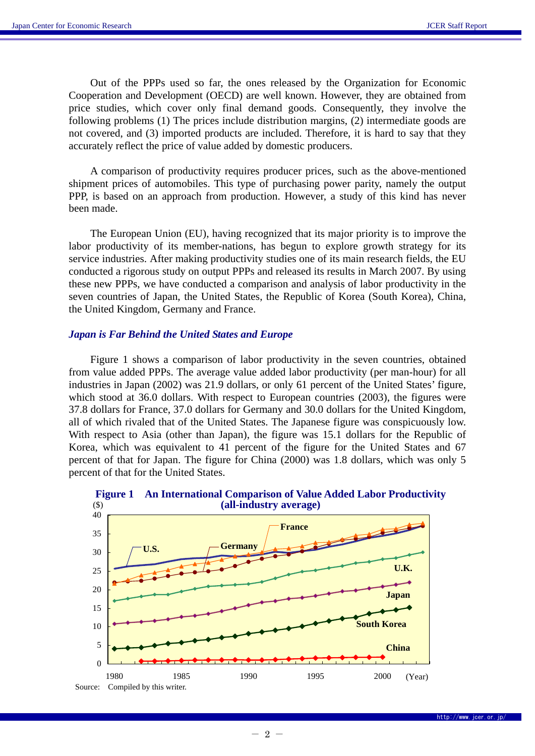Out of the PPPs used so far, the ones released by the Organization for Economic Cooperation and Development (OECD) are well known. However, they are obtained from price studies, which cover only final demand goods. Consequently, they involve the following problems (1) The prices include distribution margins, (2) intermediate goods are not covered, and (3) imported products are included. Therefore, it is hard to say that they accurately reflect the price of value added by domestic producers.

A comparison of productivity requires producer prices, such as the above-mentioned shipment prices of automobiles. This type of purchasing power parity, namely the output PPP, is based on an approach from production. However, a study of this kind has never been made.

The European Union (EU), having recognized that its major priority is to improve the labor productivity of its member-nations, has begun to explore growth strategy for its service industries. After making productivity studies one of its main research fields, the EU conducted a rigorous study on output PPPs and released its results in March 2007. By using these new PPPs, we have conducted a comparison and analysis of labor productivity in the seven countries of Japan, the United States, the Republic of Korea (South Korea), China, the United Kingdom, Germany and France.

### *Japan is Far Behind the United States and Europe*

Figure 1 shows a comparison of labor productivity in the seven countries, obtained from value added PPPs. The average value added labor productivity (per man-hour) for all industries in Japan (2002) was 21.9 dollars, or only 61 percent of the United States' figure, which stood at 36.0 dollars. With respect to European countries (2003), the figures were 37.8 dollars for France, 37.0 dollars for Germany and 30.0 dollars for the United Kingdom, all of which rivaled that of the United States. The Japanese figure was conspicuously low. With respect to Asia (other than Japan), the figure was 15.1 dollars for the Republic of Korea, which was equivalent to 41 percent of the figure for the United States and 67 percent of that for Japan. The figure for China (2000) was 1.8 dollars, which was only 5 percent of that for the United States.